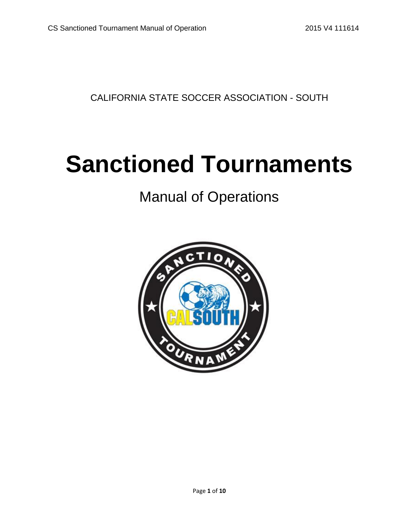CALIFORNIA STATE SOCCER ASSOCIATION - SOUTH

# **Sanctioned Tournaments**

## Manual of Operations

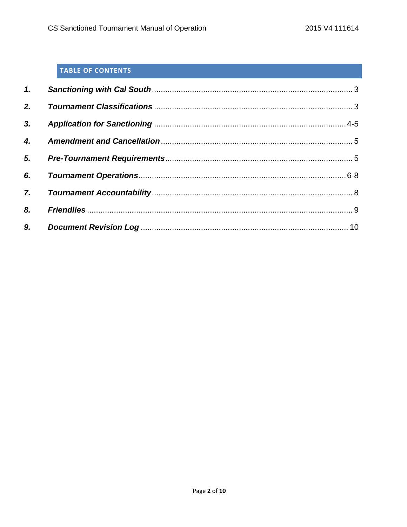#### TABLE OF CONTENTS

| 2.                 |  |
|--------------------|--|
| 3.                 |  |
| $\boldsymbol{4}$ . |  |
|                    |  |
| 6.                 |  |
|                    |  |
| 8.                 |  |
| 9.                 |  |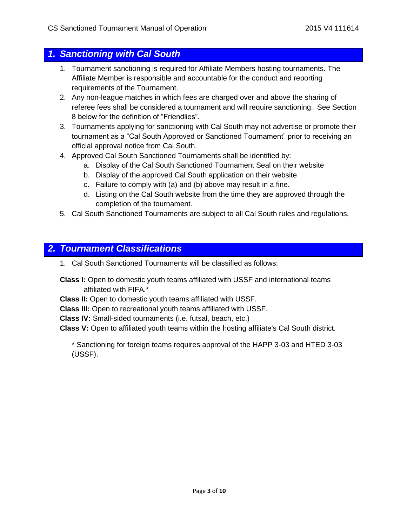#### *1. Sanctioning with Cal South*

- 1. Tournament sanctioning is required for Affiliate Members hosting tournaments. The Affiliate Member is responsible and accountable for the conduct and reporting requirements of the Tournament.
- 2. Any non-league matches in which fees are charged over and above the sharing of referee fees shall be considered a tournament and will require sanctioning. See Section 8 below for the definition of "Friendlies".
- 3. Tournaments applying for sanctioning with Cal South may not advertise or promote their tournament as a "Cal South Approved or Sanctioned Tournament" prior to receiving an official approval notice from Cal South.
- 4. Approved Cal South Sanctioned Tournaments shall be identified by:
	- a. Display of the Cal South Sanctioned Tournament Seal on their website
	- b. Display of the approved Cal South application on their website
	- c. Failure to comply with (a) and (b) above may result in a fine.
	- d. Listing on the Cal South website from the time they are approved through the completion of the tournament.
- 5. Cal South Sanctioned Tournaments are subject to all Cal South rules and regulations.

#### *2. Tournament Classifications*

1. Cal South Sanctioned Tournaments will be classified as follows:

**Class I:** Open to domestic youth teams affiliated with USSF and international teams affiliated with FIFA.\*

**Class II:** Open to domestic youth teams affiliated with USSF.

**Class III:** Open to recreational youth teams affiliated with USSF.

**Class IV:** Small-sided tournaments (i.e. futsal, beach, etc.)

**Class V:** Open to affiliated youth teams within the hosting affiliate's Cal South district.

\* Sanctioning for foreign teams requires approval of the HAPP 3-03 and HTED 3-03 (USSF).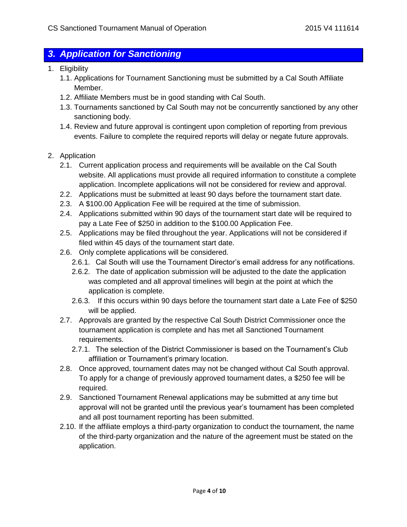#### *3. Application for Sanctioning*

- 1. Eligibility
	- 1.1. Applications for Tournament Sanctioning must be submitted by a Cal South Affiliate Member.
	- 1.2. Affiliate Members must be in good standing with Cal South.
	- 1.3. Tournaments sanctioned by Cal South may not be concurrently sanctioned by any other sanctioning body.
	- 1.4. Review and future approval is contingent upon completion of reporting from previous events. Failure to complete the required reports will delay or negate future approvals.
- 2. Application
	- 2.1. Current application process and requirements will be available on the Cal South website. All applications must provide all required information to constitute a complete application. Incomplete applications will not be considered for review and approval.
	- 2.2. Applications must be submitted at least 90 days before the tournament start date.
	- 2.3. A \$100.00 Application Fee will be required at the time of submission.
	- 2.4. Applications submitted within 90 days of the tournament start date will be required to pay a Late Fee of \$250 in addition to the \$100.00 Application Fee.
	- 2.5. Applications may be filed throughout the year. Applications will not be considered if filed within 45 days of the tournament start date.
	- 2.6. Only complete applications will be considered.
		- 2.6.1. Cal South will use the Tournament Director's email address for any notifications.
		- 2.6.2. The date of application submission will be adjusted to the date the application was completed and all approval timelines will begin at the point at which the application is complete.
		- 2.6.3. If this occurs within 90 days before the tournament start date a Late Fee of \$250 will be applied.
	- 2.7. Approvals are granted by the respective Cal South District Commissioner once the tournament application is complete and has met all Sanctioned Tournament requirements.
		- 2.7.1. The selection of the District Commissioner is based on the Tournament's Club affiliation or Tournament's primary location.
	- 2.8. Once approved, tournament dates may not be changed without Cal South approval. To apply for a change of previously approved tournament dates, a \$250 fee will be required.
	- 2.9. Sanctioned Tournament Renewal applications may be submitted at any time but approval will not be granted until the previous year's tournament has been completed and all post tournament reporting has been submitted.
	- 2.10. If the affiliate employs a third-party organization to conduct the tournament, the name of the third-party organization and the nature of the agreement must be stated on the application.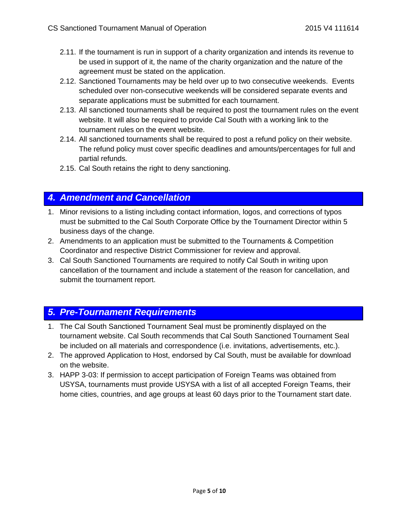- 2.11. If the tournament is run in support of a charity organization and intends its revenue to be used in support of it, the name of the charity organization and the nature of the agreement must be stated on the application.
- 2.12. Sanctioned Tournaments may be held over up to two consecutive weekends. Events scheduled over non-consecutive weekends will be considered separate events and separate applications must be submitted for each tournament.
- 2.13. All sanctioned tournaments shall be required to post the tournament rules on the event website. It will also be required to provide Cal South with a working link to the tournament rules on the event website.
- 2.14. All sanctioned tournaments shall be required to post a refund policy on their website. The refund policy must cover specific deadlines and amounts/percentages for full and partial refunds.
- 2.15. Cal South retains the right to deny sanctioning.

#### *4. Amendment and Cancellation*

- 1. Minor revisions to a listing including contact information, logos, and corrections of typos must be submitted to the Cal South Corporate Office by the Tournament Director within 5 business days of the change.
- 2. Amendments to an application must be submitted to the Tournaments & Competition Coordinator and respective District Commissioner for review and approval.
- 3. Cal South Sanctioned Tournaments are required to notify Cal South in writing upon cancellation of the tournament and include a statement of the reason for cancellation, and submit the tournament report.

#### *5. Pre-Tournament Requirements*

- 1. The Cal South Sanctioned Tournament Seal must be prominently displayed on the tournament website. Cal South recommends that Cal South Sanctioned Tournament Seal be included on all materials and correspondence (i.e. invitations, advertisements, etc.).
- 2. The approved Application to Host, endorsed by Cal South, must be available for download on the website.
- 3. HAPP 3-03: If permission to accept participation of Foreign Teams was obtained from USYSA, tournaments must provide USYSA with a list of all accepted Foreign Teams, their home cities, countries, and age groups at least 60 days prior to the Tournament start date.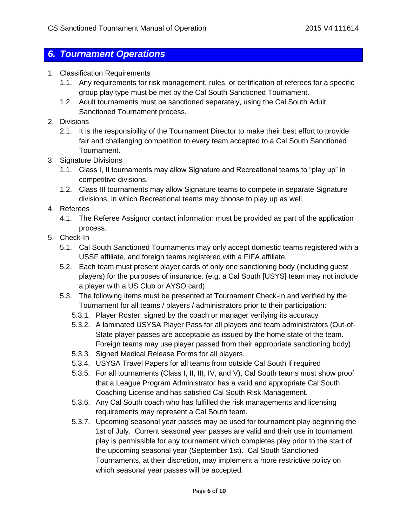#### *6. Tournament Operations*

- 1. Classification Requirements
	- 1.1. Any requirements for risk management, rules, or certification of referees for a specific group play type must be met by the Cal South Sanctioned Tournament.
	- 1.2. Adult tournaments must be sanctioned separately, using the Cal South Adult Sanctioned Tournament process.
- 2. Divisions
	- 2.1. It is the responsibility of the Tournament Director to make their best effort to provide fair and challenging competition to every team accepted to a Cal South Sanctioned Tournament.
- 3. Signature Divisions
	- 1.1. Class I, II tournaments may allow Signature and Recreational teams to "play up" in competitive divisions.
	- 1.2. Class III tournaments may allow Signature teams to compete in separate Signature divisions, in which Recreational teams may choose to play up as well.
- 4. Referees
	- 4.1. The Referee Assignor contact information must be provided as part of the application process.
- 5. Check-In
	- 5.1. Cal South Sanctioned Tournaments may only accept domestic teams registered with a USSF affiliate, and foreign teams registered with a FIFA affiliate.
	- 5.2. Each team must present player cards of only one sanctioning body (including guest players) for the purposes of insurance. (e.g. a Cal South [USYS] team may not include a player with a US Club or AYSO card).
	- 5.3. The following items must be presented at Tournament Check-In and verified by the Tournament for all teams / players / administrators prior to their participation:
		- 5.3.1. Player Roster, signed by the coach or manager verifying its accuracy
		- 5.3.2. A laminated USYSA Player Pass for all players and team administrators (Out-of-State player passes are acceptable as issued by the home state of the team. Foreign teams may use player passed from their appropriate sanctioning body)
		- 5.3.3. Signed Medical Release Forms for all players.
		- 5.3.4. USYSA Travel Papers for all teams from outside Cal South if required
		- 5.3.5. For all tournaments (Class I, II, III, IV, and V), Cal South teams must show proof that a League Program Administrator has a valid and appropriate Cal South Coaching License and has satisfied Cal South Risk Management.
		- 5.3.6. Any Cal South coach who has fulfilled the risk managements and licensing requirements may represent a Cal South team.
		- 5.3.7. Upcoming seasonal year passes may be used for tournament play beginning the 1st of July. Current seasonal year passes are valid and their use in tournament play is permissible for any tournament which completes play prior to the start of the upcoming seasonal year (September 1st). Cal South Sanctioned Tournaments, at their discretion, may implement a more restrictive policy on which seasonal year passes will be accepted.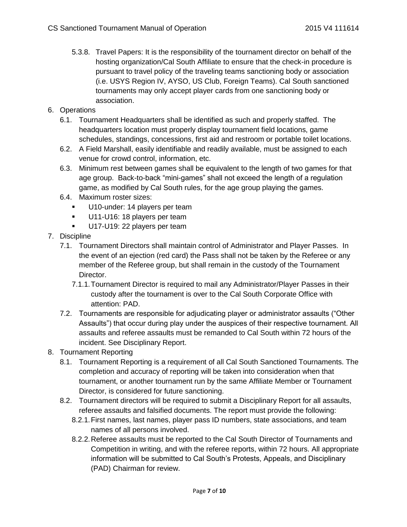5.3.8. Travel Papers: It is the responsibility of the tournament director on behalf of the hosting organization/Cal South Affiliate to ensure that the check-in procedure is pursuant to travel policy of the traveling teams sanctioning body or association (i.e. USYS Region IV, AYSO, US Club, Foreign Teams). Cal South sanctioned tournaments may only accept player cards from one sanctioning body or association.

#### 6. Operations

- 6.1. Tournament Headquarters shall be identified as such and properly staffed. The headquarters location must properly display tournament field locations, game schedules, standings, concessions, first aid and restroom or portable toilet locations.
- 6.2. A Field Marshall, easily identifiable and readily available, must be assigned to each venue for crowd control, information, etc.
- 6.3. Minimum rest between games shall be equivalent to the length of two games for that age group. Back-to-back "mini-games" shall not exceed the length of a regulation game, as modified by Cal South rules, for the age group playing the games.
- 6.4. Maximum roster sizes:
	- U10-under: 14 players per team
	- U11-U16: 18 players per team
	- U17-U19: 22 players per team
- 7. Discipline
	- 7.1. Tournament Directors shall maintain control of Administrator and Player Passes. In the event of an ejection (red card) the Pass shall not be taken by the Referee or any member of the Referee group, but shall remain in the custody of the Tournament Director.
		- 7.1.1.Tournament Director is required to mail any Administrator/Player Passes in their custody after the tournament is over to the Cal South Corporate Office with attention: PAD.
	- 7.2. Tournaments are responsible for adjudicating player or administrator assaults ("Other Assaults") that occur during play under the auspices of their respective tournament. All assaults and referee assaults must be remanded to Cal South within 72 hours of the incident. See Disciplinary Report.
- 8. Tournament Reporting
	- 8.1. Tournament Reporting is a requirement of all Cal South Sanctioned Tournaments. The completion and accuracy of reporting will be taken into consideration when that tournament, or another tournament run by the same Affiliate Member or Tournament Director, is considered for future sanctioning.
	- 8.2. Tournament directors will be required to submit a Disciplinary Report for all assaults, referee assaults and falsified documents. The report must provide the following:
		- 8.2.1.First names, last names, player pass ID numbers, state associations, and team names of all persons involved.
		- 8.2.2.Referee assaults must be reported to the Cal South Director of Tournaments and Competition in writing, and with the referee reports, within 72 hours. All appropriate information will be submitted to Cal South's Protests, Appeals, and Disciplinary (PAD) Chairman for review.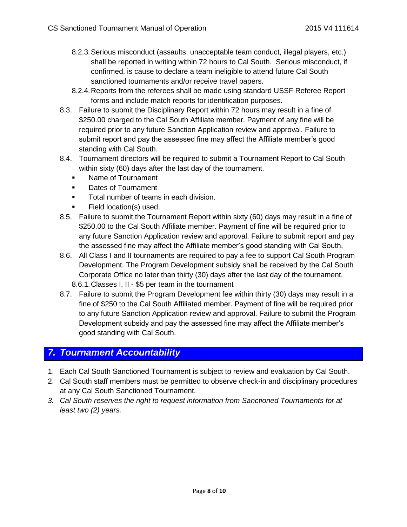- 8.2.3.Serious misconduct (assaults, unacceptable team conduct, illegal players, etc.) shall be reported in writing within 72 hours to Cal South. Serious misconduct, if confirmed, is cause to declare a team ineligible to attend future Cal South sanctioned tournaments and/or receive travel papers.
- 8.2.4.Reports from the referees shall be made using standard USSF Referee Report forms and include match reports for identification purposes.
- 8.3. Failure to submit the Disciplinary Report within 72 hours may result in a fine of \$250.00 charged to the Cal South Affiliate member. Payment of any fine will be required prior to any future Sanction Application review and approval. Failure to submit report and pay the assessed fine may affect the Affiliate member's good standing with Cal South.
- 8.4. Tournament directors will be required to submit a Tournament Report to Cal South within sixty (60) days after the last day of the tournament.
	- Name of Tournament
	- **•** Dates of Tournament
	- **Total number of teams in each division.**
	- Field location(s) used.
- 8.5. Failure to submit the Tournament Report within sixty (60) days may result in a fine of \$250.00 to the Cal South Affiliate member. Payment of fine will be required prior to any future Sanction Application review and approval. Failure to submit report and pay the assessed fine may affect the Affiliate member's good standing with Cal South.
- 8.6. All Class I and II tournaments are required to pay a fee to support Cal South Program Development. The Program Development subsidy shall be received by the Cal South Corporate Office no later than thirty (30) days after the last day of the tournament. 8.6.1.Classes I, II - \$5 per team in the tournament
- 8.7. Failure to submit the Program Development fee within thirty (30) days may result in a fine of \$250 to the Cal South Affiliated member. Payment of fine will be required prior to any future Sanction Application review and approval. Failure to submit the Program Development subsidy and pay the assessed fine may affect the Affiliate member's

#### *7. Tournament Accountability*

good standing with Cal South.

- 1. Each Cal South Sanctioned Tournament is subject to review and evaluation by Cal South.
- 2. Cal South staff members must be permitted to observe check-in and disciplinary procedures at any Cal South Sanctioned Tournament.
- *3. Cal South reserves the right to request information from Sanctioned Tournaments for at least two (2) years.*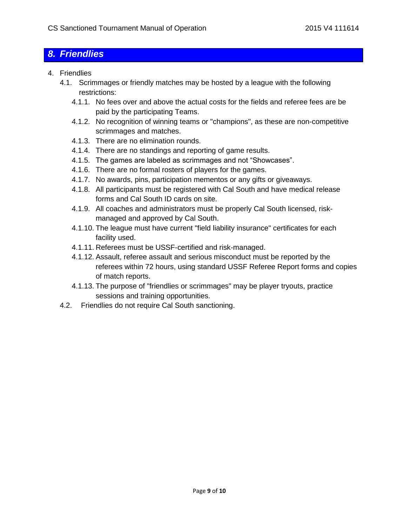#### *8. Friendlies*

- 4. Friendlies
	- 4.1. Scrimmages or friendly matches may be hosted by a league with the following restrictions:
		- 4.1.1. No fees over and above the actual costs for the fields and referee fees are be paid by the participating Teams.
		- 4.1.2. No recognition of winning teams or "champions", as these are non-competitive scrimmages and matches.
		- 4.1.3. There are no elimination rounds.
		- 4.1.4. There are no standings and reporting of game results.
		- 4.1.5. The games are labeled as scrimmages and not "Showcases".
		- 4.1.6. There are no formal rosters of players for the games.
		- 4.1.7. No awards, pins, participation mementos or any gifts or giveaways.
		- 4.1.8. All participants must be registered with Cal South and have medical release forms and Cal South ID cards on site.
		- 4.1.9. All coaches and administrators must be properly Cal South licensed, riskmanaged and approved by Cal South.
		- 4.1.10. The league must have current "field liability insurance" certificates for each facility used.
		- 4.1.11. Referees must be USSF-certified and risk-managed.
		- 4.1.12. Assault, referee assault and serious misconduct must be reported by the referees within 72 hours, using standard USSF Referee Report forms and copies of match reports.
		- 4.1.13. The purpose of "friendlies or scrimmages" may be player tryouts, practice sessions and training opportunities.
	- 4.2. Friendlies do not require Cal South sanctioning.